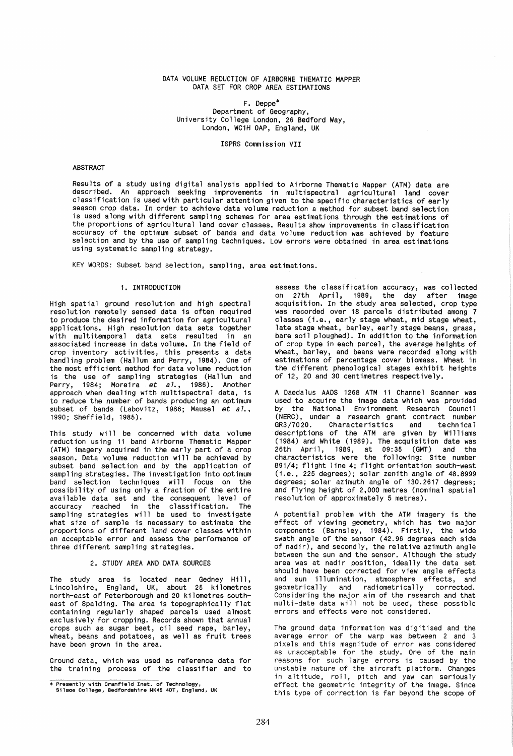## DATA VOLUME REDUCTION OF AIRBORNE THEMATIC MAPPER DATA SET FOR CROP AREA ESTIMATIONS

F. Deppe\* Department of Geography, University College London, 26 Bedford Way, London, WC1H OAP, England, UK

ISPRS Commission *VII* 

## ABSTRACT

Results of a study using digital analysis applied to Airborne Thematic Mapper (ATM) data are described. An approach seeking improvements in multispectral agricultural land cover classification is used with particular attention given to the specific characteristics of early season crop data. In order to achieve data volume reduction a method for subset band selection is used along with different sampling schemes for area estimations through the estimations of the proportions of agricultural land cover classes. Results show improvements in classification accuracy of the optimum subset of bands and data volume reduction was achieved by feature selection and by the use of sampling techniques. Low errors were obtained in area estimations using systematic sampling strategy.

KEY WORDS: Subset band selection, sampling, area estimations.

## 1. INTRODUCTION

High spatial ground resolution and high spectral resolution remotely sensed data is often required to produce the desired information for agricultural<br>applications. High resolution data sets together with multitemporal data sets resulted in an associated increase in data volume. In the field of crop inventory activities, this presents a data handling problem (Hallum and Perry, 1984). One of the most efficient method for data volume reduction is the use of sampling strategies (Hallum and Perry, 1984; Moreira *et a7.,* 1986). Another approach when dealing with multispectral data, is to reduce the number of bands producing an optimum subset of bands (Labovitz, 1986; Mausel *et al*., 1990; Sheffield, 1985).

This study will be concerned with data volume<br>reduction using 11 band Airborne Thematic Mapper (ATM) imagery acquired in the early part of a crop season. Data volume reduction will be achieved by subset band selection and by the application of sampling strategies. The investigation into optimum band selection techniques will focus on the possibility of using only a fraction of the entire available data set and the consequent level of<br>accuracy reached in the classification. The accuracy reached in the classification. sampling strategies will be used to investigate what size of sample is necessary to estimate the proportions of different land cover classes within an acceptable error and assess the performance of three different sampling strategies.

## 2. STUDY AREA AND DATA SOURCES

The study area is located near Gedney Hill, Lincolshire, England, UK, about 25 kilometres north-east of Peterborough and 20 kilometres southeast of Spalding. The area is topographically flat containing regularly shaped parcels used almost exclusively for cropping. Records shown that annual crops such as sugar beet, oil seed rape, barley, wheat, beans and potatoes, as well as fruit trees have been grown in the area.

Ground data, which was used as reference data for the training process of the classifier and to assess the classification accuracy, was collected<br>on 27th April, 1989, the day after image on 27th April, 1989, the day acquisition. In the study area selected, crop type was recorded over 18 parcels distributed among 7 classes (i.e., early stage wheat, mid stage wheat, late stage wheat, barley, early stage beans, grass, bare soil ploughed). In addition to the information of crop type in each parcel, the average heights of wheat, barley, and beans were recorded along with estimations of percentage cover biomass. Wheat in the different phenological stages exhibit heights of 12, 20 and 30 centimetres respectively.

A Daedalus AADS 1268 ATM 11 Channel Scanner was used to acquire the image data which was provided by the National Environment Research Council (NERC), under a research grant contract number<br>GR3/7020. Characteristics and technical Characteristics descriptions of the ATM are given by Williams (1984) and White (1989). The acquisition date was 26th April, 1989, at 09: 35 (GMT) and the characteristics were the following: Site number 891/4; flight line 4; flight orientation south-west (i.e., 225 degrees); solar zenith angle of 48.8999 degrees; solar azimuth angle of 130.2617 degrees; and flying height of 2,000 metres (nominal spatial resolution of approximately 5 metres).

A potential problem with the ATM imagery is the effect of viewing geometry, which has two major components (Barnsley, 1984). Firstly, the wide swath angle of the sensor (42.96 degrees each side of nadir), and secondly, the relative azimuth angle between the sun and the sensor. Although the study area was at nadir position, ideally the data set should have been corrected for view angle effects and sun illumination, atmosphere effects, and geometrically and radiometrically corrected. Considering the major aim of the research and that multi-date data will not be used, these possible errors and effects were not considered.

The ground data information was digitised and the average error of the warp was between 2 and 3 pixels and this magnitude of error was considered as unacceptable for the study. One of the main reasons for such 1 arge errors is caused by the unstable nature of the aircraft platform. Changes in altitude, roll, pitch and yaw can seriously effect the geometric integrity of the image. Since this type of correction is far beyond the scope of

<sup>\*</sup> Presently with Cranfield Inst. of Technology, Silsoe College, Bedfordshire MK45 40T, England, UK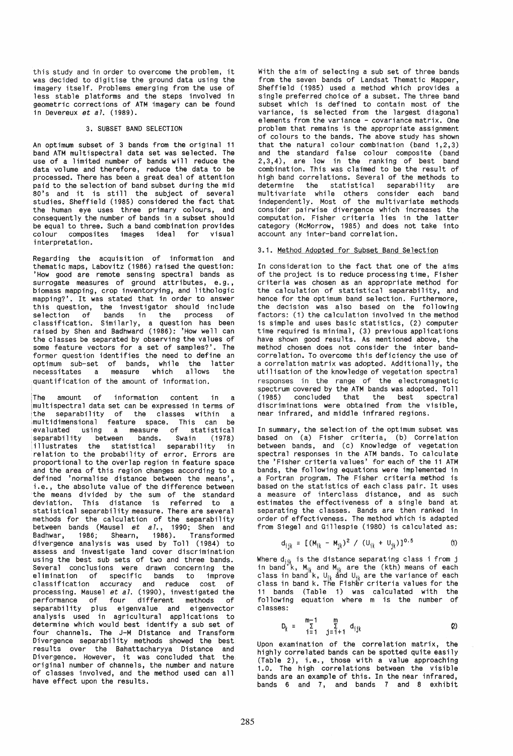this study and in order to overcome the problem, it was decided to digitise the ground data using the imagery itself. Problems emerging from the use of less stable platforms and the steps involved in geometric corrections of ATM imagery can be found in Devereux *et a7. (1989).* 

## 3. SUBSET BAND SELECTION

An optimum subset of 3 bands from the original 11 band ATM multippectral data set was selected in the use of a limited number of bands will reduce the data volume and therefore, reduce the data to be processed. There has been a great deal of attention paid to the selection of band subset during the mid 80's and it is still the subject of several studies. Sheffield (1985) considered the fact that the human eye uses three primary colours, and consequently the number of bands in a subset should be equal to three. Such a band combination provides colour composites images ideal for visual interpretation.

Regarding the acquisition of information and thematic maps, Labovitz (1986) raised the question: 'How good are remote sensing spectral bands as surrogate measures of ground attributes, e.g., biomass mapping, crop inventorying, and lithologic mapping?'. It was stated that in order to answer<br>this question, the investigator should include selection of bands in the process of classification. Similarly, a question has been raised by Shen and Badhward (1986): 'How well can the classes be separated by observing the values of some feature vectors for a set of samples?'. The some reature vectors for a set or samples: The<br>former question identifies the need to define an<br>optimum sub-set of bands, while the latter necessitates a measure which allows the quantification of the amount of information.

The amount of information content in a multispectral data set can be expressed in terms of the separability of the classes within a multidimensional feature space. This can be evaluated using a measure of statistical separability between bands. Swain (1978) illustrates the statistical separability in relation to the probability of error. Errors are proportional to the overlap region in feature space and the area of this region changes according to a defined 'normalise distance between the means', i.e., the absolute value of the difference between the means divided by the sum of the standard deviation. This distance is referred to a statistical separability measure. There are several methods for the calculation of the separability between bands (Mausel *et aT.,* 1990; Shen and Badhwar, 1986; Shearn, 1986) . Transformed divergence analysis was used by Toll (1984) to assess and investigate land cover discrimination using the best sub sets of two and three bands. Several conclusions were drawn concerning the elimination of specific bands to improve classification accuracy and reduce cost of processing. Mausel et *aT.* (1990), investigated the performance of four different methods of separability plus eigenvalue and eigenvector analysis used in agricultural applications to determine which would best identify a sub set of four channels. The J-M Distance and Transform Divergence separability methods showed the best results over the Bahattacharyya Distance and Divergence. However, it was concluded that the original number of channels, the number and nature of classes involved, and the method used can all have effect upon the results.

With the aim of selecting a sub set of three bands from the seven bands of Landsat Thematic Mapper, Sheffield (1985) used a method which provides a<br>single preferred choice of a subset. The three band subset which is defined to contain most of the variance, is selected from the largest diagonal elements from the variance - covariance matrix. One problem that remains is the appropriate assignment of colours to the bands. The above study has shown that the natural colour combination (band 1,2,3) and the standard false colour composite (band 2,3,4), are low in the ranking of best band combination. This was claimed to be the result of high band correlations. Several of the methods to<br>determine the statistical separability are determine the statistical separability are multivariate while others consider each band independently. Most of the multivariate methods consider pairwise divergence which increases the computation. Fisher criteria lies in the latter category (McMorrow, 1985) and does not take into account any inter-band correlation.

## 3.1. Method Adopted for Subset Band Selection

In consideration to the fact that one of the aims of the project is to reduce processing time, Fisher criteria was chosen as an appropriate method for the calculation of statistical separability, and hence for the optimum band selection. Furthermore, the decision was also based on the following factors: (1) the calculation involved in the method is simple and uses basic statistics, (2) computer time required is minimal, (3) previous applications have shown good results. As mentioned above, the method chosen does not consider the inter band-<br>correlation. To overcome this deficiency the use of a correlation matrix was adopted. Additionally, the utilisation of the knowledge of vegetation spectral responses in the range of the electromagnetic spectrum covered by the ATM bands was adopted. Toll (1985) concluded that the best spectral discriminations were obtained from the visible, near infrared, and middle infrared regions.

In summary, the selection of the optimum subset was<br>based on (a) Fisher criteria, (b) Correlation between bands, and (c) Knowledge of vegetation spectral responses in the ATM bands. To calculate the 'Fisher criteria values' for each of the 11 ATM bands, the following equations were implemented in<br>a Fortran program. The Fisher criteria method is based on the statistics of each class pair. It uses a measure of interclass distance, and as such estimates the effectiveness of a single band at separating the classes. Bands are then ranked in order of effectiveness. The method which is adapted from Siegel and Gillespie (1980) is calculated as:

$$
d_{ijk} = [(M_{ik} - M_{ik})^2 / (U_{ik} + U_{ik})]^{0.5}
$$
 (1)

Where d<sub>ijk</sub> is the distance separating class i from j<br>in band k, M<sub>ik</sub> and M<sub>ik</sub> are the (kth) means of each<br>class in band k, U<sub>jk</sub> and U<sub>jk</sub> are the variance of each<br>class in band k. The Fisher criteria values for the 11 bands (Table 1) was calculated with the following equation where m is the number of classes:

$$
D_k = \sum_{i=1}^{m-1} \sum_{j=i+1}^m d_{ijk} \qquad (2)
$$

Upon examination of the correlation matrix, the highly correlated bands can be spotted quite easily (Table 2), i.e., those with a value approaching 1.0. The high correlations between the visible bands are an example of this. In the near infrared, bands 6 and  $7$ , and bands  $7$  and  $8$  exhibit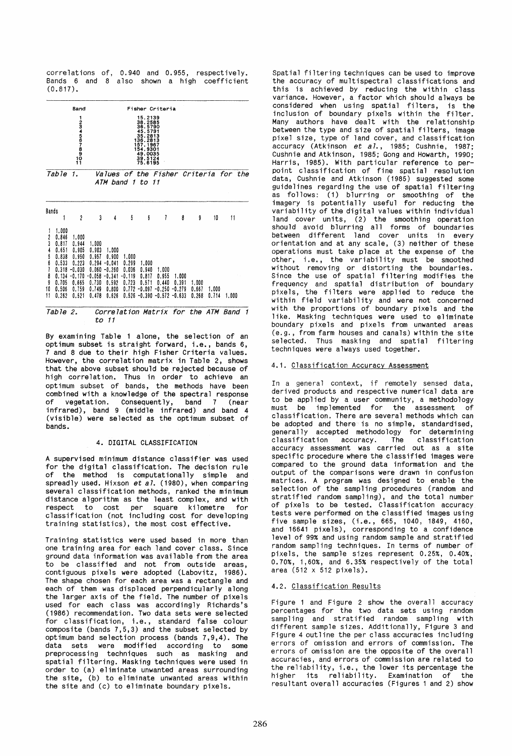correlations of, 0.940 and 0.955, respectively. Bands 6 and 8 also shown a high coefficient (0.817).

| Band<br>1<br>11081081014001                 |                                                                                                 |                                                                                            | Fisher Criteria<br>15.2139<br>38.2585<br>36.5790<br>45.5791<br>35.2813<br>136.2813<br>157.1967<br>154.9301<br>49.0035<br>$39.5124$<br>$75.6195$ |                                                                           |                                                     |                                                                 |                                                 |                                        |                         |                |       |  |
|---------------------------------------------|-------------------------------------------------------------------------------------------------|--------------------------------------------------------------------------------------------|-------------------------------------------------------------------------------------------------------------------------------------------------|---------------------------------------------------------------------------|-----------------------------------------------------|-----------------------------------------------------------------|-------------------------------------------------|----------------------------------------|-------------------------|----------------|-------|--|
| Table                                       |                                                                                                 | 1.                                                                                         | Values of the Fisher Criteria for the<br>ATM band<br>$\mathcal{I}$<br>tο<br>11                                                                  |                                                                           |                                                     |                                                                 |                                                 |                                        |                         |                |       |  |
| Bands                                       |                                                                                                 | $\mathfrak z$                                                                              | 3                                                                                                                                               | 4                                                                         | 5                                                   | 6                                                               | 7                                               | 8                                      | ŷ                       | 10             | 11    |  |
| 2<br>3<br>4<br>5<br>6<br>8<br>9<br>10<br>11 | 1.000<br>0.846<br>0.817<br>0.651<br>0.838<br>0.533<br>0.318<br>0.134<br>0.705<br>0.506<br>0.262 | 1.000<br>0.944<br>0.905<br>0.950<br>0.223<br>-0.030<br>$-0.170$<br>0.665<br>0.759<br>0.521 | 1.000<br>0.903<br>0.957<br>0.294<br>0.060<br>$-0.058$<br>0.730<br>0.749<br>0.478                                                                | 1.000<br>0.900<br>-0.041<br>-0.260<br>$-0.341$<br>0.592<br>0.800<br>0.626 | 1.000<br>0.299<br>0.036<br>-0.119<br>0.723<br>0.772 | 1.000<br>0.940<br>0.817<br>0.571<br>$-0.097$<br>$0.526 - 0.390$ | 1.000<br>0.955<br>0.440<br>$-0.250$<br>$-0.572$ | 1.000<br>0.391<br>$-0.279$<br>$-0.633$ | 1.000<br>0.667<br>0.268 | 1.000<br>0.714 | 1.000 |  |

#### Table 2. Correlation Matrix for the ATM Band 1 to 11

By examining Table 1 alone, the selection of an optimum subset is straight forward, i.e., bands 6, 7 and 8 due to their high Fisher Criteria values. However, the correlation matrix in Table 2, shows that the above subset should be rejected because of high correlation. Thus in order to achieve an optimum subset of bands, the methods have been combined with a knowledge of the spectral response of vegetation. Consequently, band 7 (near infrared), band 9 (middle infrared) and band 4 (visible) were selected as the optimum subset of bands.

## 4. DIGITAL CLASSIFICATION

A supervised minimum distance classifier was used for the digital classification. The decision rule of the method is computationally simple and spreadly used. Hixson et al. (1980), when comparing several classification methods, ranked the minimum distance algorithm as the least complex, and with respect to cost per square kilometre for classification (not including cost for developing training statistics), the most cost effective.

Training statistics were used based in more than one training area for each land cover class. Since ground data information was available from the area<br>to be classified and not from outside areas, contiguous pixels were adopted (Labovitz, 1986). The shape chosen for each area was a rectangle and each of them was displaced perpendicularly along the larger axis of the field. The number of pixels used for each class was accordingly Richards's (1986) recommendation. Two data sets were selected for classification, i.e., standard false colour composite (bands 7,5,3) and the subset selected by optimum band selection process (bands 7,9,4). The data sets were modified according to some preprocessing techniques such as masking and spatial filtering. Masking techniques were used in order to (a) eliminate unwanted areas surrounding the site, (b) to eliminate unwanted areas within the site and (c) to eliminate boundary pixels.

Spatial filtering techniques can be used to improve the accuracy of multispectral classifications and this is achieved by reducing the within class variance. However, a factor which should always be considered when using spatial filters, is the inclusion of boundary pixels within the filter. Many authors have dealt with the relationship between the type and size of spatial filters, image pixel size, type of land cover, and classification accuracy (Atkinson et al., 1985; Cushnie, 1987; Cushnie and Atkinson, 1985; Gong and Howarth, 1990; Harris, 1985). With particular reference to per-<br>point classification of fine spatial resolution point classification of fine spatial resolution<br>data, Cushnie and Atkinson (1985) suggested some<br>guidelines regarding the use of spatial filtering<br>as follows: (1) blurring or smoothing of the imagery is potentially useful for reducing the variability of the digital values within individual land cover units, (2) the smoothing operation should avoid blurring all forms of boundaries between different land cover units in every orientation and at any scale, (3) neither of these ope rat ions must take place at the expense of the other, i.e., the variability must be smoothed without removing or distorting the boundaries. Since the use of spatial filtering modifies the frequency and spatial distribution of boundary pixels, the filters were applied to reduce the within field variability and were not concerned with the proportions of boundary pixels and the like. Masking techniques were used to eliminate boundary pixels and pixels from unwanted areas (e.g., from farm houses and canals) within the site selected. Thus masking and spatial filtering techniques were always used together.

## 4.1. Classification Accuracy Assessment

In a general context, if remotely sensed data,<br>derived products and respective numerical data are to be applied by a user community, a methodology must be implemented for the assessment of classification. There are several methods which can be adopted and there is no simple, standardised, generally accepted methodology for determining classification accuracy. The classification accuracy assessment was carried out as a site specific procedure where the classified images were compared to the ground data information and the output of the comparisons were drawn in confusion matrices. A program was designed to enable the<br>selection of the sampling procedures (random and stratified random sampling), and the total number of pixels to be tested. Classification accuracy tests were performed on the classified images using five sample sizes, (i.e., 665, 1040, 1849, 4160, and 16641 pixels), corresponding to a confidence level of 99% and using random sample and stratified random sampling techniques. In terms of number of pixels, the sample sizes represent 0.25%, 0.40%, 0.70%, 1,60%, and 6.35% respectively of the total area (512 x 512 pixels).

## 4.2. Classification Results

Figure 1 and Figure 2 show the overall accuracy percentages for the two data sets using random sampling and stratified random sampling with different sample sizes. Additionally, Figure 3 and Figure 4 outline the per class accuracies including errors of omission and errors of commission. The errors of omission are the opposite of the overall accuracies, and errors of commission are related to the reliability, i.e., the lower its percentage the higher its reliability. Examination of the resultant overall accuracies (Figures 1 and 2) show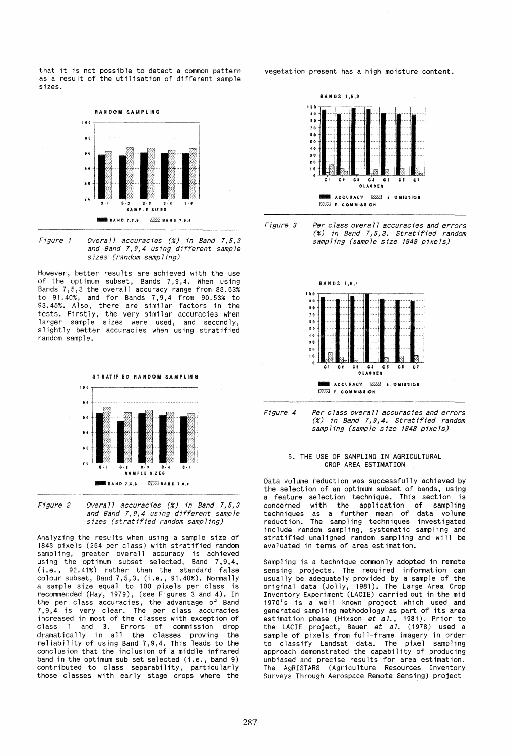that it is not possible to detect a common pattern as a result of the utilisation of different sample sizes.



Figure 1 Overall accuracies (%) in Band 7,5,3 and Band 7,9,4 using different sample sizes (random sampling)

However, better results are achieved with the use of the optimum subset, Bands 7,9,4. When using Bands 7,5,3 the overall accuracy range from 88.63% to 91.40%, and for Bands 7,9,4 from 90.53% to 93.45%. Also, there are similar factors in the tests. Firstly, the very similar accuracies when larger sample sizes were used, and secondly, slightly better accuracies when using stratified random sample.





Analyzing the results when using a sample size of 1848 pixels (264 per class) with stratified random sampling, greater overall accuracy is achieved using the optimum subset selected, Band 7,9,4, (i.e., 92.41%) rather than the standard false colour subset, Band 7,5,3, (i.e., 91.40%). Normally a sample size equal to 100 pixels per class is recommended (Hay, 1979), (see Figures 3 and 4). In the per class accuracies, the advantage of Band 7,9,4 is very clear. The per class accuracies increased in most of the classes with exception of class 1 and 3. Errors of commission drop dramatically in all the classes proving the reliability of using Band 7,9,4. This leads to the conclusion that the inclusion of a middle infrared band in the optimum sub set selected (i.e., band 9) contributed to class separability, particularly those classes with early stage crops where the

vegetation present has a high moisture content.





![](_page_3_Figure_10.jpeg)

![](_page_3_Figure_11.jpeg)

## 5. THE USE OF SAMPLING IN AGRICULTURAL CROP AREA ESTIMATION

Data volume reduction was successfully achieved by the selection of an optimum subset of bands, using the selection of an optimum subset of bands, using<br>a feature selection technique. This section is<br>concerned with the application of sampling techniques as a further mean of data volume reduction. The sampling techniques investigated include random sampling, systematic sampling and<br>stratified unaligned random sampling and will be evaluated in terms of area estimation.

Sampling is a technique commonly adopted in remote sensing projects. The required information can usually be adequately provided by a sample of the original data (Jolly, 1981), The Large Area Crop Inventory Experiment (LACIE) carried out in the mid 1970's is a well known project which used and<br>generated sampling methodology as part of its area estimation phase (Hixson et  $a1$ , 1981). Prior to the LACIE project, Bauer et  $a1$ . (1978) used a the LACIE project, Bauer *et al*. (1978) used a<br>sample of pixels from full-frame imagery in order to classify Landsat data. The pixel sampling approach demonstrated the capability of producing unbiased and precise results for area estimation. The AgRISTARS (Agriculture Resources Inventory Surveys Through Aerospace Remote Sensing) project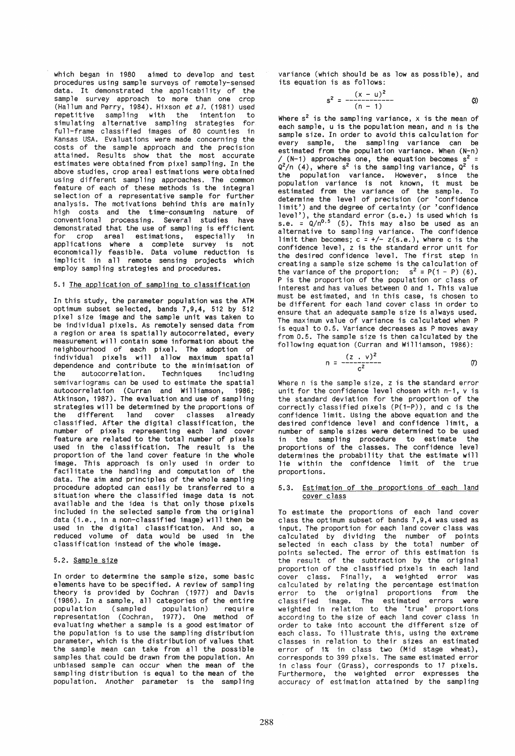which began in 1980 aimed to develop and test procedures using sample surveys of remotely-sensed data. It demonstrated the applicability of the sample survey approach to more than one crop (Hallum and Perry, 1984). Hixson *et a7.* (1981) used repetitive sampling with the intention to simulating alternative sampling strategies for full-frame classified images of 80 counties in Kansas USA. Evaluations were made concerning the costs of the sample approach and the precision attained. Results show that the most accurate estimates were obtained from pixel sampling. In the above studies, crop areal estimations were obtained using different sampling approaches. The common feature of each of these methods is the integral selection of a representative sample for further analysis. The motivations behind this are mainly high costs and the time-consuming nature of conventional processing. Several studies have demonstrated that the use of sampling is efficient for crop areal estimations, especially in applications where a complete survey is not economically feasible. Data volume reduction is implicit in all remote sensing projects which employ sampling strategies and procedures.

## 5.1 The application of sampling to classification

In this study, the parameter population was the ATM opt imum subset se lected, bands 7,9,4, 512 by 512 pixel size image and the sample unit was taken to be individual pixels. As remotely sensed data from a region or area is spatially autocorrelated, every measurement will contain some information about the neighbourhood of each pixel. The adoption of individual pixels will allow maximum spatial dependence and contribute to the minimisation of<br>the autocorrelation. Techniques including Techniques including semivariograms can be used to estimate the spatial autocorrelation (Curran and Williamson, 1986; Atkinson, 1987). The evaluation and use of sampling strategies will be determined by the proportions of the different land cover classes already classified. After the digital classification, the feature are related to the total number of pixels used in the classification. The result is the proportion of the land cover feature in the whole image. This approach is only used in order to facilitate the handling and computation of the data. The aim and principles of the whole sampling procedure adopted can easi ly be transferred to a situation where the classified image data is not available and the idea is that only those pixels included in the selected sample from the original data (i.e., in a non-classified image) will then be used in the digital classification. And so, a reduced volume of data would be used in the classification instead of the whole image.

## 5.2. Sample size

In order to determine the sample size, some basic elements have to be specified. A review of sampling theory is provided by Cochran (1977) and Davis (1986). In a sample, all categories of the entire population (sampled population)<br>representation (Cochran, 1977). One 1977). One method of evaluating whether a sample is a good estimator of the population is to use the sampling distribution parameter, which is the distribution of values that the sample mean can take from all the possible samples that could be drawn from the population. An unbiased sample can occur when the mean of the sampling distribution is equal to the mean of the population. Another parameter is the sampling variance (which should be as low as possible), and its equation is as follows:

$$
s^{2} = \frac{(x - u)^{2}}{(n - 1)}
$$
 (3)

Where  $s^2$  is the sampling variance, x is the mean of each sample, u is the population mean, and n is the sample size. In order to avoid this calculation for every sample, the sampling variance can be estimated from the population variance. When (N-n) / (N-1) approaches one, the equation becomes  $s^2 =$ <br> $Q^2/n$  (4), where  $s^2$  is the sampling variance,  $Q^2$  is the population variance. However, since the population variance is not known, it must be estimated from the variance of the sample. To determine the level of precision (or 'confidence limit') and the degree of certainty (or 'confidence level'), the standard error (s.e.) is used which is s.e. =  $Q/n^{0.5}$  (5). This may also be used as an alternative to sampling variance. The confidence limit then becomes;  $c = \frac{1}{2}(s.e.)$ , where c is the confidence level, z is the standard error unit for the desired confidence level. The first step in creating a sample size scheme is the calculation of the variance of the proportion:  $s^2 = P(1 - P)$  (6). P is the proportion of the population or class of interest and has values between 0 and 1. This value must be estimated, and in this case, is chosen to be different for each land cover class in order to<br>ensure that an adequate sample size is always used. The maximum value of variance is calculated when P is equal to 0.5. Variance decreases as P moves away from 0.5. The sample size is then calculated by the following equation (Curran and Williamson, 1986):

$$
n = \frac{(z - v)^2}{c^2}
$$
 (7)

Where n is the sample size, z is the standard error<br>unit for the confidence level chosen with n-1, v is the standard deviation for the proportion of the correctly classified pixels (P(1-P), and c is the confidence limit. Using the above equation and the number of sample sizes were determined to be used in the sampling procedure to estimate the proportions of the classes. The confidence level determines the probability that the estimate will lie within the confidence limit of the true proportions.

# 5.3. Estimation of the proportions of each land cover class

To estimate the proportions of each land cover<br>class the optimum subset of bands 7,9,4 was used as<br>input. The proportion for each land cover class was<br>calculated by dividing the number of points<br>selected in each class by t points selected. The error of this estimation is the result of the subtraction by the original proportion of the classified pixels in each land cover class. Finally, a weighted error was calculated by relating the percentage estimation classified image. The estimated errors were weighted in relation to the 'true' proportions according to the size of each land cover class in order to take into account the different size of each class. To illustrate this, using the extreme classes in relation to their sizes an estimated error of 1% in class two (Mid stage wheat), corresponds to 399 pixels. The same estimated error in class four (Grass), corresponds to 17 pixels. Furthermore, the weighted error expresses the accuracy of estimation attained by the sampling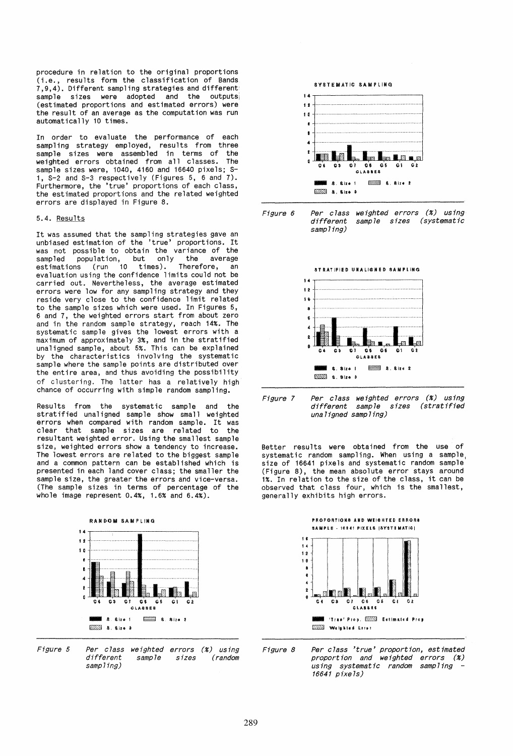procedure in relation to the original proportions (i.e., results form the classification of Bands 7,9,4). Different sampling strategies and different sample sizes were adopted and the outputs<br>(estimated proportions and estimated errors) were the result of an average as the computation was run automatically 10 times.

In order to evaluate the performance of each sampling strategy employed, results from three sample sizes were assembled in terms of the weighted errors obtained from all classes. The sample sizes were, 1040, 4160 and 16640 pixels; S-1, S-2 and S-3 respectively (Figures 5, 6 and 7). Furthermore, the 'true' proportions of each class, the estimated proportions and the related weighted errors are displayed in Figure 8.

## 5.4. Results

It was assumed that the sampling strategies gave an unbiased estimation of the 'true' proportions. It was not possible to obtain the variance of the sampled population, but only the average estimations (run 10 times). Therefore, an<br>evaluation using the confidence limits could not be evaluation using the confidence limits could not be<br>carried out. Nevertheless, the average estimated<br>errors were low for any sampling strategy and they reside very close to the confidence limit related to the sample sizes which were used. In Figures 5, 6 and 7, the weighted errors start from about zero and in the random sample strategy, reach 14%. The systematic sample gives the lowest errors with a maximum of approximately 3%, and in the stratified unaligned sample, about 5%. This can be explained by the characteristics involving the systematic sample where the sample points are distributed over the entire area, and thus avoiding the possibility of clustering. The latter has a relatively high chance of occurring with simple random sampling.

Results from the systematic sample and the stratified unaligned sample show small weighted errors when compared with random sample. It was clear that sample sizes are related to the resultant weighted error. Using the smallest sample size, weighted errors show a tendency to increase. The lowest errors are related to the biggest sample and a common pattern can be established which is presented in each land cover class; the smaller the sample size, the greater the errors and vice-versa. (The sample sizes in terms of percentage of the whole image represent 0.4%, 1.6% and 6.4%).

![](_page_5_Figure_5.jpeg)

Figure 5 Per class weighted errors (%) using different sample sizes (random sampling)

![](_page_5_Figure_7.jpeg)

![](_page_5_Figure_8.jpeg)

![](_page_5_Figure_9.jpeg)

Figure 7 Per class weighted errors (%) using different sample sizes (stratified unaligned sampling)

Better results were obtained from the use of systematic random sampling. When using a sample, size of 16641 pixels and systematic random sample (Figure 8), the mean absolute error stays around 1%. In relation to the size of the class, it can be observed that class four, which is the smallest, generally exhibits high errors.

![](_page_5_Figure_12.jpeg)

Figure 8 Per class 'true' proportion, estimated proportion and weighted errors (%) using systematic random sampling - 16641 pixels)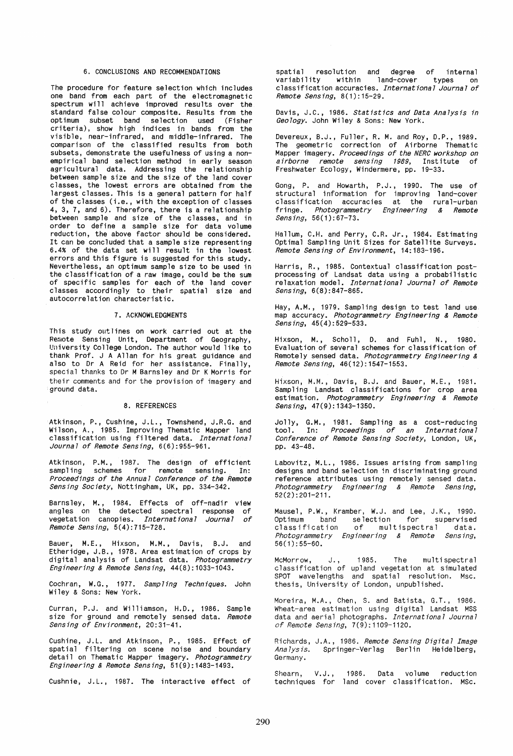## 6. CONCLUSIONS AND RECOMMENDATIONS

The procedure for feature selection which includes one band from each part of the electromagnetic spectrum will achieve improved results over the standard false colour composite. Results from the optimum subset band selection used (Fisher criteria), show high indices in bands from the visible, near-infrared, and middle-infrared. The comparison of the classified results from both<br>subsets, demonstrate the usefulness of using a nonempirical band selection method in early season<br>agricultural data. Addressing the relationship between sample size and the size of the land cover classes, the lowest errors are obtained from the largest classes. This is a general pattern for half of the classes (i.e., with the exception of classes 4, 3, 7, and 6). Therefore, there is a relationship between sample and size of the classes, and in order to define a sample size for data volume reduction, the above factor should be considered. It can be concluded that a sample size representing<br>6.4% of the data set will result in the lowest errors and this figure is suggested for this study. Nevertheless, an optimum sample size to be used in the classification of a raw image, could be the sum of specific samples for each of the land cover classes accordingly to their spatial size and autocorrelation characteristic.

## 7. ACKNOWLEDGMENTS

This study outlines on work carried out at the Remote Sensing Unit, Department of Geography, University College London. The author would like to thank Prof. J A Allan for his great guidance and also to Dr A Reid for her assistance. Finally, special thanks to Dr M Barnsley and Dr K Morris for their comments and for the provision of imagery and ground data.

## 8. REFERENCES

Atkinson, P., Cushine, J.L., Townshend, J.R.G. and Wilson, A., 1985. Improving Thematic Mapper land classification using filtered data. *International Journa7* of *Remote Sensing, 6(6):955-961.* 

Atkinson, P.M., 1987. The design of efficient<br>sampling schemes for remote sensing. In: sampling schemes for remote sensing. *Proceedings* of *the Annua 1 Conference* of *the Remote Sensing Society,* Nottingham, UK, pp. 334-342.

Barnsley, M., 1984. Effects of off-nadir view angles on the detected spectral response of<br>vegetation canopies. International Journal of vegetation canopies. *International Journal Remote Sensing, 5(4):715-728.* 

Bauer, M.E., Hixson, M.M., Davis, B.J. and Etheridge, J.B., 1978. Area estimation of crops by digital analysis of Landsat data. *Photogrammetry Engineering* & *Remote Sensing, 44(8):1033-1043.* 

Cochran, W.G., 1977. *Sampling Techniques.* John Wiley & Sons: New York.

Curran, P.J. and Williamson, H.D., 1986. Sample size for ground and remotely sensed data. *Remote Sensing* of *Environment, 20:31-41.* 

Cushine, J.L. and Atkinson, P., 1985. Effect of spatial filtering on scene noise and boundary detail on Thematic Mapper imagery. *Photogrammetry Engineering* & *Remote Sensing, 51(9):1483-1493.* 

Cushnie, J.L., 1987. The interactive effect of

spatial resolution and degree of internal<br>variability within land-cover types on variability.<br>classification accuracies. *International Journal of Remote Sensing, 8(1):15-29.* 

Davis, J.C., 1986. *Statistics and Data Ana7ysis in Geology.* John Wiley & Sons: New York.

Devereux, B.J., Fuller, R. M. and Roy, D.P., 1989. The geometric correction of Airborne Thematic Mapper imagery. *Proceedings* of *the NERC workshop on airborne remote sensing* 1989, Institute of Freshwater Ecology, Windermere, pp. 19-33.

Gong, P. and Howarth, P.J., 1990. The use of structural information for improving land-cover class i ficat ion accuracies at the rural-urban fringe. *Photogrammetry Engineering* & *Remote Sensing, 56(1):67-73.* 

Hallum, C.H. and Perry, C.R. Jr., 1984. Estimating Optimal Sampling Unit Sizes for Satellite Surveys. *Remote Sensing of Environment, 14:183-196.* 

Harris, R., 1985. Contextual classification postprocessing of Landsat data using a probabilistic relaxation model. *International Journa7 of Remote Sensing, 6(8):847-865.* 

Hay, A.M., 1979. Sampling design to test land use map accuracy. *Photogrammetry Engineering* & *Remote Sensing, 45(4):529-533.* 

Hixson, M., Scholl, D. and Fuhl, N., 1980. Evaluation of several schemes for classification of Remotely sensed data. *Photogrammetry Engineering & Remote Sensing, 46(12):1547-1553.* 

Hixson, M.M., Davis, B.J. and Bauer, M.E., 1981. Sampling Landsat classifications for crop area estimation. *Photogrammetry Engineering* & *Remote SenSing, 47(9):1343-1350.* 

Jolly, G.M., 1981. Sampling as a cost-reducing<br>tool. In: *Proceedings of an International Conference of Remote Sensing Society,* London, UK, pp. 43-48.

Labovitz, M.L., 1986. Issues arising from sampling designs and band selection in discriminating ground reference attributes using remotely sensed data. *Photogrammetry Engineering* & *Remote SenSing,*  52(2):201-211.

Mausel, P.W., Kramber, W.J. and Lee, J.K., 1990. Optimum band selection for supervised<br>classification of multispectral data. of multispectral data. *Photogrammetry Engineering* & *Remote Sensing,*  56(1):55-60.

McMorrow, J., 1985. The multi spectral classification of upland vegetation at simulated SPOT wavelengths and spatial resolution. Msc. thesis, University of London, unpublished.

Moreira, M.A., Chen, S. and Batista, G.T., 1986. Wheat-area estimation using digital Landsat MSS data and aerial photographs. *International Journa7*  of *Remote Sensing. 7(9):1109-1120.* 

Richards, J.A., 1986. *Remote Sensing Digita7 Image Ana7ysis.* Springer-Verlag Berlin Heidelberg, Germany.

Shearn, V.J., 1986. Data volume reduction<br>techniques for land cover classification. MSc. 1986. Data volume reduction